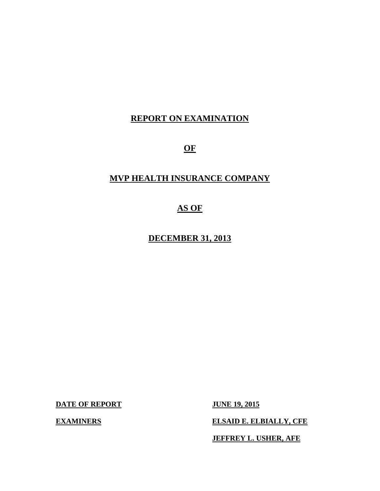# **REPORT ON EXAMINATION**

**OF** 

# **MVP HEALTH INSURANCE COMPANY**

# **AS OF**

**DECEMBER 31, 2013** 

**DATE OF REPORT JUNE 19, 2015** 

**EXAMINERS** ELSAID E. ELBIALLY, CFE

**JEFFREY L. USHER, AFE**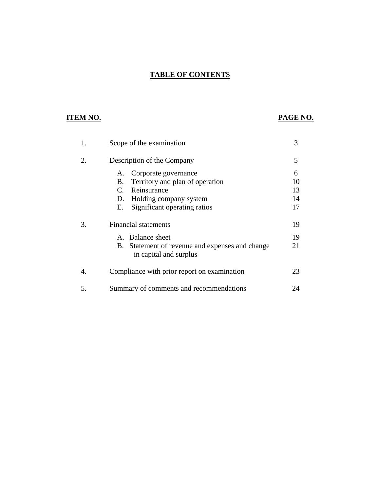# **TABLE OF CONTENTS**

# **ITEM NO. PAGE NO.**

| 1. | Scope of the examination                                                                                                                                                  | 3                         |
|----|---------------------------------------------------------------------------------------------------------------------------------------------------------------------------|---------------------------|
| 2. | Description of the Company                                                                                                                                                | 5                         |
|    | Corporate governance<br>А.<br>Territory and plan of operation<br>В.<br>Reinsurance<br>$\mathcal{C}$<br>D.<br>Holding company system<br>Significant operating ratios<br>Е. | 6<br>10<br>13<br>14<br>17 |
| 3. | <b>Financial statements</b><br>A. Balance sheet<br>B. Statement of revenue and expenses and change<br>in capital and surplus                                              | 19<br>19<br>21            |
| 4. | Compliance with prior report on examination                                                                                                                               | 23                        |
| 5. | Summary of comments and recommendations                                                                                                                                   | 24                        |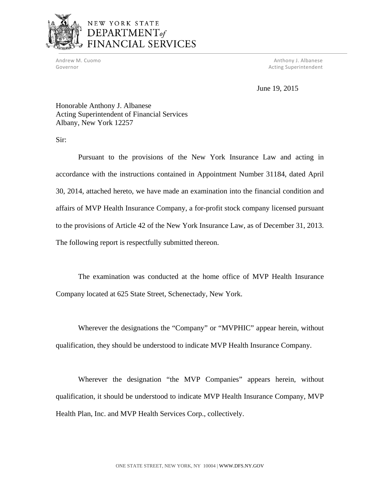

# NEW YORK STATE DEPARTMENT<sub>of</sub> FINANCIAL SERVICES

 Andrew M. Cuomo Anthony J. Albanese Governor **Acting Superintendent Contract Superintendent Acting Superintendent** 

June 19, 2015

Honorable Anthony J. Albanese Acting Superintendent of Financial Services Albany, New York 12257

Sir:

Pursuant to the provisions of the New York Insurance Law and acting in accordance with the instructions contained in Appointment Number 31184, dated April 30, 2014, attached hereto, we have made an examination into the financial condition and affairs of MVP Health Insurance Company, a for-profit stock company licensed pursuant to the provisions of Article 42 of the New York Insurance Law, as of December 31, 2013. The following report is respectfully submitted thereon.

The examination was conducted at the home office of MVP Health Insurance Company located at 625 State Street, Schenectady, New York.

Wherever the designations the "Company" or "MVPHIC" appear herein, without qualification, they should be understood to indicate MVP Health Insurance Company.

Wherever the designation "the MVP Companies" appears herein, without qualification, it should be understood to indicate MVP Health Insurance Company, MVP Health Plan, Inc. and MVP Health Services Corp., collectively.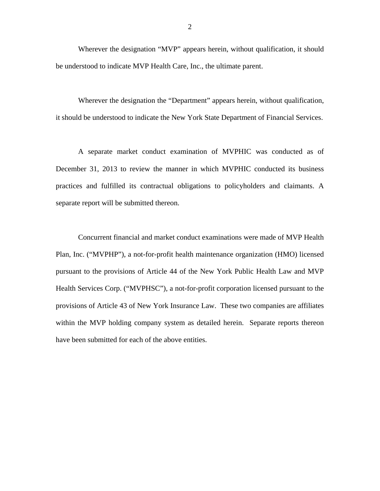Wherever the designation "MVP" appears herein, without qualification, it should be understood to indicate MVP Health Care, Inc., the ultimate parent.

Wherever the designation the "Department" appears herein, without qualification, it should be understood to indicate the New York State Department of Financial Services.

A separate market conduct examination of MVPHIC was conducted as of December 31, 2013 to review the manner in which MVPHIC conducted its business practices and fulfilled its contractual obligations to policyholders and claimants. A separate report will be submitted thereon.

Concurrent financial and market conduct examinations were made of MVP Health Plan, Inc. ("MVPHP"), a not-for-profit health maintenance organization (HMO) licensed pursuant to the provisions of Article 44 of the New York Public Health Law and MVP Health Services Corp. ("MVPHSC"), a not-for-profit corporation licensed pursuant to the provisions of Article 43 of New York Insurance Law. These two companies are affiliates within the MVP holding company system as detailed herein. Separate reports thereon have been submitted for each of the above entities.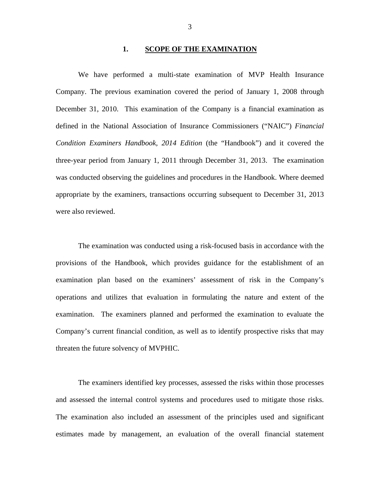#### **1. SCOPE OF THE EXAMINATION**

<span id="page-5-0"></span>We have performed a multi-state examination of MVP Health Insurance Company. The previous examination covered the period of January 1, 2008 through December 31, 2010. This examination of the Company is a financial examination as defined in the National Association of Insurance Commissioners ("NAIC") *Financial Condition Examiners Handbook, 2014 Edition* (the "Handbook") and it covered the three-year period from January 1, 2011 through December 31, 2013. The examination was conducted observing the guidelines and procedures in the Handbook. Where deemed appropriate by the examiners, transactions occurring subsequent to December 31, 2013 were also reviewed.

The examination was conducted using a risk-focused basis in accordance with the provisions of the Handbook, which provides guidance for the establishment of an examination plan based on the examiners' assessment of risk in the Company's operations and utilizes that evaluation in formulating the nature and extent of the examination. The examiners planned and performed the examination to evaluate the Company's current financial condition, as well as to identify prospective risks that may threaten the future solvency of MVPHIC.

The examiners identified key processes, assessed the risks within those processes and assessed the internal control systems and procedures used to mitigate those risks. The examination also included an assessment of the principles used and significant estimates made by management, an evaluation of the overall financial statement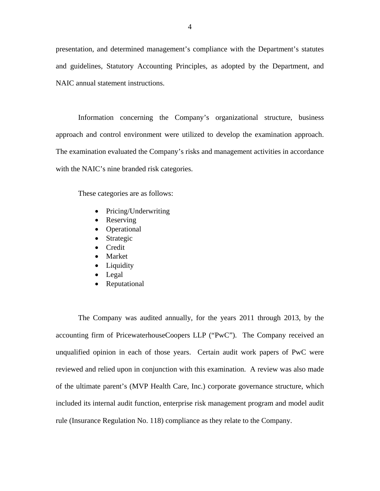presentation, and determined management's compliance with the Department's statutes and guidelines, Statutory Accounting Principles, as adopted by the Department, and NAIC annual statement instructions.

Information concerning the Company's organizational structure, business approach and control environment were utilized to develop the examination approach. The examination evaluated the Company's risks and management activities in accordance with the NAIC's nine branded risk categories.

These categories are as follows:

- Pricing/Underwriting
- Reserving
- Operational
- Strategic
- **Credit**
- Market
- Liquidity
- Legal
- Reputational

The Company was audited annually, for the years 2011 through 2013, by the accounting firm of PricewaterhouseCoopers LLP ("PwC"). The Company received an unqualified opinion in each of those years. Certain audit work papers of PwC were reviewed and relied upon in conjunction with this examination. A review was also made of the ultimate parent's (MVP Health Care, Inc.) corporate governance structure, which included its internal audit function, enterprise risk management program and model audit rule (Insurance Regulation No. 118) compliance as they relate to the Company.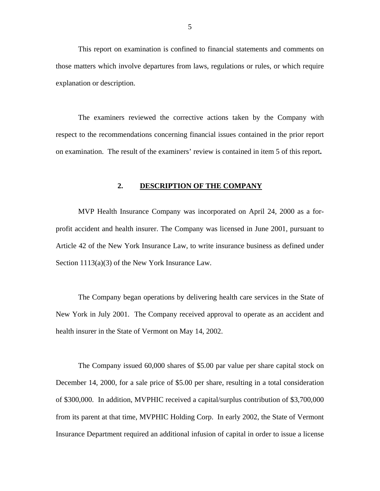<span id="page-7-0"></span>This report on examination is confined to financial statements and comments on those matters which involve departures from laws, regulations or rules, or which require explanation or description.

The examiners reviewed the corrective actions taken by the Company with respect to the recommendations concerning financial issues contained in the prior report on examination. The result of the examiners' review is contained in item 5 of this report**.** 

### **2. DESCRIPTION OF THE COMPANY**

MVP Health Insurance Company was incorporated on April 24, 2000 as a forprofit accident and health insurer. The Company was licensed in June 2001, pursuant to Article 42 of the New York Insurance Law, to write insurance business as defined under Section 1113(a)(3) of the New York Insurance Law.

The Company began operations by delivering health care services in the State of New York in July 2001. The Company received approval to operate as an accident and health insurer in the State of Vermont on May 14, 2002.

The Company issued 60,000 shares of \$5.00 par value per share capital stock on December 14, 2000, for a sale price of \$5.00 per share, resulting in a total consideration of \$300,000. In addition, MVPHIC received a capital/surplus contribution of \$3,700,000 from its parent at that time, MVPHIC Holding Corp. In early 2002, the State of Vermont Insurance Department required an additional infusion of capital in order to issue a license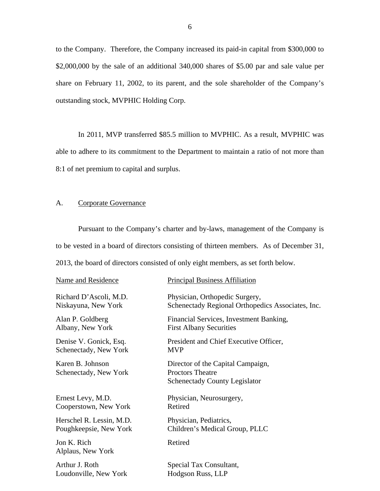<span id="page-8-0"></span>to the Company. Therefore, the Company increased its paid-in capital from \$300,000 to \$2,000,000 by the sale of an additional 340,000 shares of \$5.00 par and sale value per share on February 11, 2002, to its parent, and the sole shareholder of the Company's outstanding stock, MVPHIC Holding Corp.

In 2011, MVP transferred \$85.5 million to MVPHIC. As a result, MVPHIC was able to adhere to its commitment to the Department to maintain a ratio of not more than 8:1 of net premium to capital and surplus.

### A. Corporate Governance

Pursuant to the Company's charter and by-laws, management of the Company is to be vested in a board of directors consisting of thirteen members. As of December 31,

2013, the board of directors consisted of only eight members, as set forth below.

| Name and Residence                        | <b>Principal Business Affiliation</b>                                                                |
|-------------------------------------------|------------------------------------------------------------------------------------------------------|
| Richard D'Ascoli, M.D.                    | Physician, Orthopedic Surgery,                                                                       |
| Niskayuna, New York                       | Schenectady Regional Orthopedics Associates, Inc.                                                    |
| Alan P. Goldberg                          | Financial Services, Investment Banking,                                                              |
| Albany, New York                          | <b>First Albany Securities</b>                                                                       |
| Denise V. Gonick, Esq.                    | President and Chief Executive Officer,                                                               |
| Schenectady, New York                     | <b>MVP</b>                                                                                           |
| Karen B. Johnson<br>Schenectady, New York | Director of the Capital Campaign,<br><b>Proctors Theatre</b><br><b>Schenectady County Legislator</b> |
| Ernest Levy, M.D.                         | Physician, Neurosurgery,                                                                             |
| Cooperstown, New York                     | Retired                                                                                              |
| Herschel R. Lessin, M.D.                  | Physician, Pediatrics,                                                                               |
| Poughkeepsie, New York                    | Children's Medical Group, PLLC                                                                       |
| Jon K. Rich<br>Alplaus, New York          | Retired                                                                                              |
| Arthur J. Roth                            | Special Tax Consultant,                                                                              |
| Loudonville, New York                     | Hodgson Russ, LLP                                                                                    |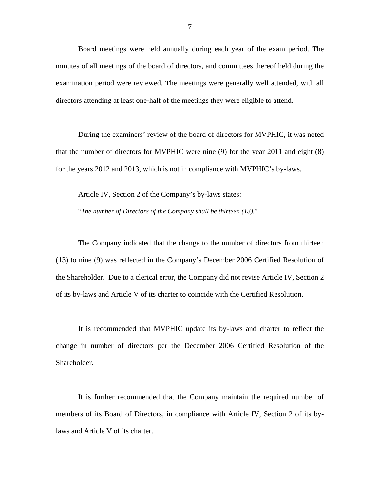Board meetings were held annually during each year of the exam period. The minutes of all meetings of the board of directors, and committees thereof held during the examination period were reviewed. The meetings were generally well attended, with all directors attending at least one-half of the meetings they were eligible to attend.

During the examiners' review of the board of directors for MVPHIC, it was noted that the number of directors for MVPHIC were nine (9) for the year 2011 and eight (8) for the years 2012 and 2013, which is not in compliance with MVPHIC's by-laws.

Article IV, Section 2 of the Company's by-laws states: "*The number of Directors of the Company shall be thirteen (13).*"

The Company indicated that the change to the number of directors from thirteen (13) to nine (9) was reflected in the Company's December 2006 Certified Resolution of the Shareholder. Due to a clerical error, the Company did not revise Article IV, Section 2 of its by-laws and Article V of its charter to coincide with the Certified Resolution.

It is recommended that MVPHIC update its by-laws and charter to reflect the change in number of directors per the December 2006 Certified Resolution of the Shareholder.

It is further recommended that the Company maintain the required number of members of its Board of Directors, in compliance with Article IV, Section 2 of its bylaws and Article V of its charter.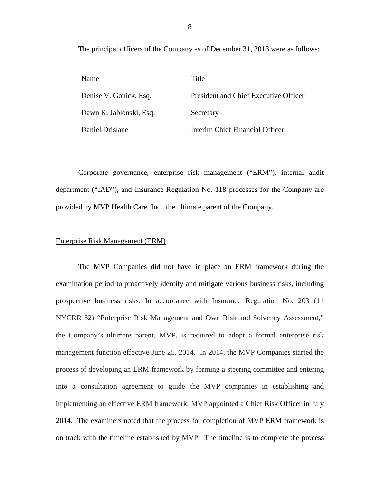The principal officers of the Company as of December 31, 2013 were as follows:

| Name                    | Title                                 |
|-------------------------|---------------------------------------|
| Denise V. Gonick, Esq.  | President and Chief Executive Officer |
| Dawn K. Jablonski, Esq. | Secretary                             |
| Daniel Drislane         | Interim Chief Financial Officer       |

Corporate governance, enterprise risk management ("ERM"), internal audit department ("IAD"), and Insurance Regulation No. 118 processes for the Company are provided by MVP Health Care, Inc., the ultimate parent of the Company.

#### Enterprise Risk Management (ERM)

The MVP Companies did not have in place an ERM framework during the examination period to proactively identify and mitigate various business risks, including prospective business risks. In accordance with Insurance Regulation No. 203 (11 NYCRR 82) "Enterprise Risk Management and Own Risk and Solvency Assessment," the Company's ultimate parent, MVP, is required to adopt a formal enterprise risk management function effective June 25, 2014. In 2014, the MVP Companies started the process of developing an ERM framework by forming a steering committee and entering into a consultation agreement to guide the MVP companies in establishing and implementing an effective ERM framework. MVP appointed a Chief Risk Officer in July 2014. The examiners noted that the process for completion of MVP ERM framework is on track with the timeline established by MVP. The timeline is to complete the process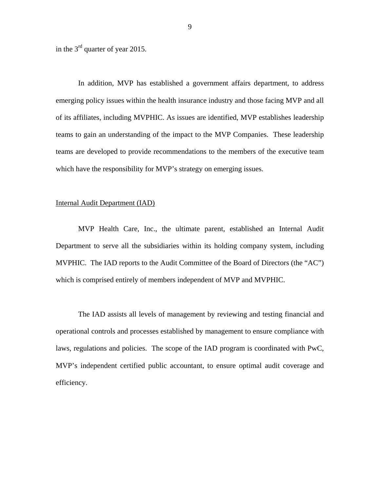in the 3rd quarter of year 2015.

In addition, MVP has established a government affairs department, to address emerging policy issues within the health insurance industry and those facing MVP and all of its affiliates, including MVPHIC. As issues are identified, MVP establishes leadership teams to gain an understanding of the impact to the MVP Companies. These leadership teams are developed to provide recommendations to the members of the executive team which have the responsibility for MVP's strategy on emerging issues.

#### Internal Audit Department (IAD)

MVP Health Care, Inc., the ultimate parent, established an Internal Audit Department to serve all the subsidiaries within its holding company system, including MVPHIC. The IAD reports to the Audit Committee of the Board of Directors (the "AC") which is comprised entirely of members independent of MVP and MVPHIC.

The IAD assists all levels of management by reviewing and testing financial and operational controls and processes established by management to ensure compliance with laws, regulations and policies. The scope of the IAD program is coordinated with PwC, MVP's independent certified public accountant, to ensure optimal audit coverage and efficiency.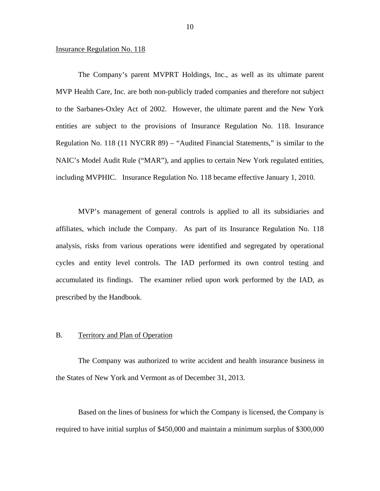#### <span id="page-12-0"></span>Insurance Regulation No. 118

The Company's parent MVPRT Holdings, Inc., as well as its ultimate parent MVP Health Care, Inc. are both non-publicly traded companies and therefore not subject to the Sarbanes-Oxley Act of 2002. However, the ultimate parent and the New York entities are subject to the provisions of Insurance Regulation No. 118. Insurance Regulation No. 118 (11 NYCRR 89) – "Audited Financial Statements," is similar to the NAIC's Model Audit Rule ("MAR"), and applies to certain New York regulated entities, including MVPHIC. Insurance Regulation No. 118 became effective January 1, 2010.

MVP's management of general controls is applied to all its subsidiaries and affiliates, which include the Company. As part of its Insurance Regulation No. 118 analysis, risks from various operations were identified and segregated by operational cycles and entity level controls. The IAD performed its own control testing and accumulated its findings. The examiner relied upon work performed by the IAD, as prescribed by the Handbook.

### B. Territory and Plan of Operation

The Company was authorized to write accident and health insurance business in the States of New York and Vermont as of December 31, 2013.

Based on the lines of business for which the Company is licensed, the Company is required to have initial surplus of \$450,000 and maintain a minimum surplus of \$300,000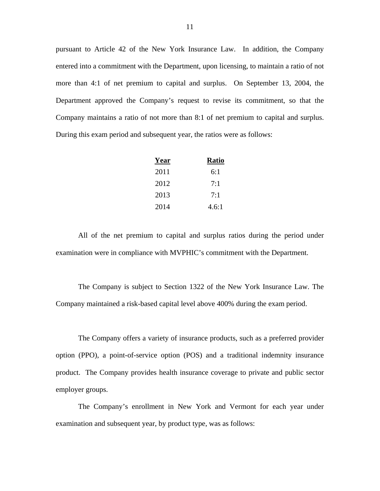Company maintains a ratio of not more than 8:1 of net premium to capital and surplus. During this exam period and subsequent year, the ratios were as follows: pursuant to Article 42 of the New York Insurance Law. In addition, the Company entered into a commitment with the Department, upon licensing, to maintain a ratio of not more than 4:1 of net premium to capital and surplus. On September 13, 2004, the Department approved the Company's request to revise its commitment, so that the

| Year | <b>Ratio</b> |
|------|--------------|
| 2011 | 6:1          |
| 2012 | 7:1          |
| 2013 | 7:1          |
| 2014 | 4.6:1        |

All of the net premium to capital and surplus ratios during the period under examination were in compliance with MVPHIC's commitment with the Department.

The Company is subject to Section 1322 of the New York Insurance Law. The Company maintained a risk-based capital level above 400% during the exam period.

The Company offers a variety of insurance products, such as a preferred provider option (PPO), a point-of-service option (POS) and a traditional indemnity insurance product. The Company provides health insurance coverage to private and public sector employer groups.

The Company's enrollment in New York and Vermont for each year under examination and subsequent year, by product type, was as follows: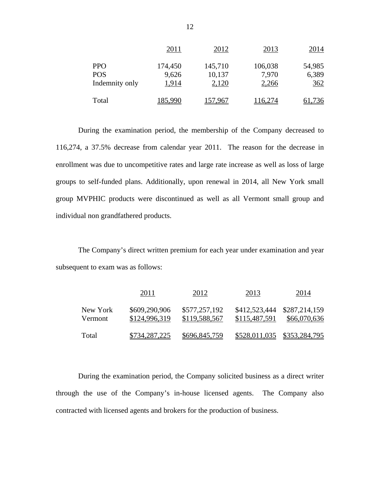|                          | 2011             | 2012              | 2013             | 2014            |
|--------------------------|------------------|-------------------|------------------|-----------------|
| <b>PPO</b><br><b>POS</b> | 174,450<br>9,626 | 145,710<br>10,137 | 106,038<br>7,970 | 54,985<br>6,389 |
| Indemnity only           | 1,914            | 2,120             | 2,266            | 362             |
| Total                    | 185.990          | 157.967           | 116,274          | 61,736          |

During the examination period, the membership of the Company decreased to 116,274, a 37.5% decrease from calendar year 2011. The reason for the decrease in enrollment was due to uncompetitive rates and large rate increase as well as loss of large groups to self-funded plans. Additionally, upon renewal in 2014, all New York small group MVPHIC products were discontinued as well as all Vermont small group and individual non grandfathered products.

The Company's direct written premium for each year under examination and year subsequent to exam was as follows:

|                     | 2011                           | 2012                           | 2013                           | 2014                          |
|---------------------|--------------------------------|--------------------------------|--------------------------------|-------------------------------|
| New York<br>Vermont | \$609,290,906<br>\$124,996,319 | \$577,257,192<br>\$119,588,567 | \$412,523,444<br>\$115,487,591 | \$287,214,159<br>\$66,070,636 |
| Total               | \$734,287,225                  | \$696,845,759                  |                                | \$528,011,035 \$353,284,795   |

During the examination period, the Company solicited business as a direct writer through the use of the Company's in-house licensed agents. The Company also contracted with licensed agents and brokers for the production of business.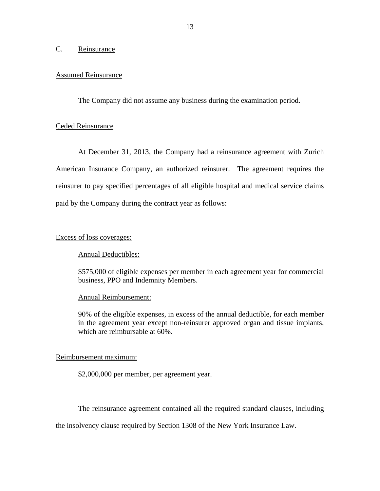## <span id="page-15-0"></span>C. Reinsurance

#### Assumed Reinsurance

The Company did not assume any business during the examination period.

#### Ceded Reinsurance

At December 31, 2013, the Company had a reinsurance agreement with Zurich American Insurance Company, an authorized reinsurer. The agreement requires the reinsurer to pay specified percentages of all eligible hospital and medical service claims paid by the Company during the contract year as follows:

#### Excess of loss coverages:

#### Annual Deductibles:

\$575,000 of eligible expenses per member in each agreement year for commercial business, PPO and Indemnity Members.

### Annual Reimbursement:

90% of the eligible expenses, in excess of the annual deductible, for each member in the agreement year except non-reinsurer approved organ and tissue implants, which are reimbursable at  $60\%$ .

#### Reimbursement maximum:

\$2,000,000 per member, per agreement year.

The reinsurance agreement contained all the required standard clauses, including

the insolvency clause required by Section 1308 of the New York Insurance Law.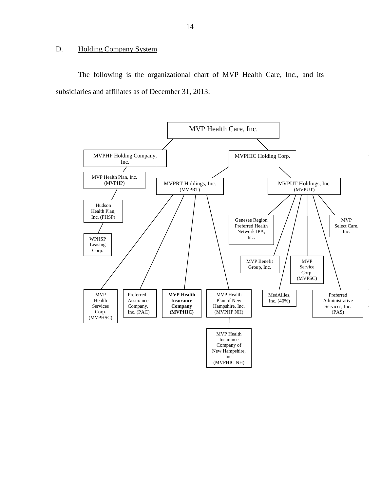# <span id="page-16-0"></span>D. Holding Company System

The following is the organizational chart of MVP Health Care, Inc., and its subsidiaries and affiliates as of December 31, 2013:

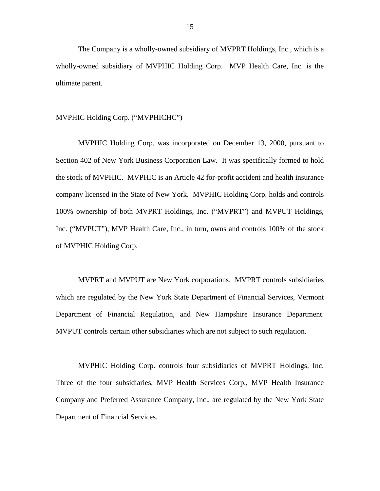The Company is a wholly-owned subsidiary of MVPRT Holdings, Inc., which is a wholly-owned subsidiary of MVPHIC Holding Corp. MVP Health Care, Inc. is the ultimate parent.

#### MVPHIC Holding Corp. ("MVPHICHC")

MVPHIC Holding Corp. was incorporated on December 13, 2000, pursuant to Section 402 of New York Business Corporation Law. It was specifically formed to hold the stock of MVPHIC. MVPHIC is an Article 42 for-profit accident and health insurance company licensed in the State of New York. MVPHIC Holding Corp. holds and controls 100% ownership of both MVPRT Holdings, Inc. ("MVPRT") and MVPUT Holdings, Inc. ("MVPUT"), MVP Health Care, Inc., in turn, owns and controls 100% of the stock of MVPHIC Holding Corp.

MVPRT and MVPUT are New York corporations. MVPRT controls subsidiaries which are regulated by the New York State Department of Financial Services, Vermont Department of Financial Regulation, and New Hampshire Insurance Department. MVPUT controls certain other subsidiaries which are not subject to such regulation.

MVPHIC Holding Corp. controls four subsidiaries of MVPRT Holdings, Inc. Three of the four subsidiaries, MVP Health Services Corp., MVP Health Insurance Company and Preferred Assurance Company, Inc., are regulated by the New York State Department of Financial Services.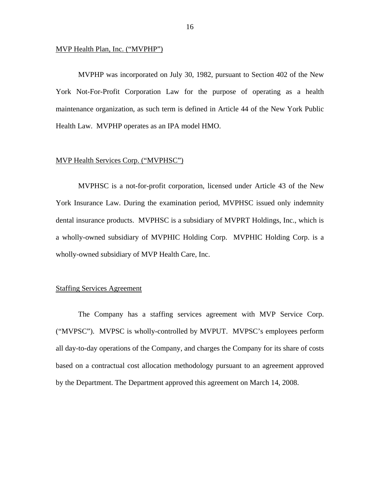#### MVP Health Plan, Inc. ("MVPHP")

MVPHP was incorporated on July 30, 1982, pursuant to Section 402 of the New York Not-For-Profit Corporation Law for the purpose of operating as a health maintenance organization, as such term is defined in Article 44 of the New York Public Health Law. MVPHP operates as an IPA model HMO.

#### MVP Health Services Corp. ("MVPHSC")

MVPHSC is a not-for-profit corporation, licensed under Article 43 of the New York Insurance Law. During the examination period, MVPHSC issued only indemnity dental insurance products. MVPHSC is a subsidiary of MVPRT Holdings, Inc., which is a wholly-owned subsidiary of MVPHIC Holding Corp. MVPHIC Holding Corp. is a wholly-owned subsidiary of MVP Health Care, Inc.

#### Staffing Services Agreement

The Company has a staffing services agreement with MVP Service Corp. ("MVPSC"). MVPSC is wholly-controlled by MVPUT. MVPSC's employees perform all day-to-day operations of the Company, and charges the Company for its share of costs based on a contractual cost allocation methodology pursuant to an agreement approved by the Department. The Department approved this agreement on March 14, 2008.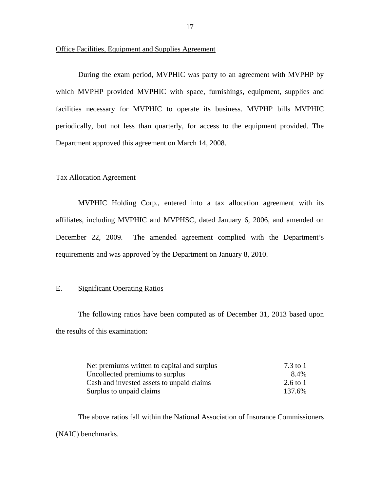#### <span id="page-19-0"></span>Office Facilities, Equipment and Supplies Agreement

During the exam period, MVPHIC was party to an agreement with MVPHP by which MVPHP provided MVPHIC with space, furnishings, equipment, supplies and facilities necessary for MVPHIC to operate its business. MVPHP bills MVPHIC periodically, but not less than quarterly, for access to the equipment provided. The Department approved this agreement on March 14, 2008.

#### Tax Allocation Agreement

MVPHIC Holding Corp., entered into a tax allocation agreement with its affiliates, including MVPHIC and MVPHSC, dated January 6, 2006, and amended on December 22, 2009. The amended agreement complied with the Department's requirements and was approved by the Department on January 8, 2010.

#### E. Significant Operating Ratios

The following ratios have been computed as of December 31, 2013 based upon the results of this examination:

| Net premiums written to capital and surplus | 7.3 to 1 |
|---------------------------------------------|----------|
| Uncollected premiums to surplus             | 8.4%     |
| Cash and invested assets to unpaid claims   | 2.6 to 1 |
| Surplus to unpaid claims                    | 137.6%   |

The above ratios fall within the National Association of Insurance Commissioners (NAIC) benchmarks.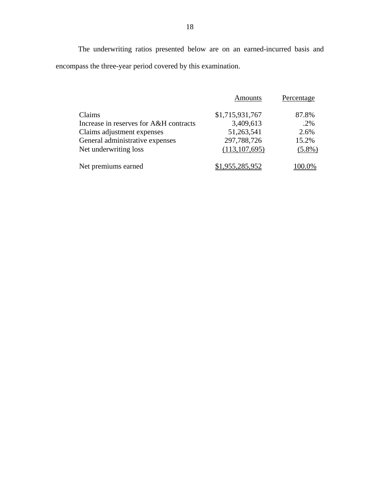The underwriting ratios presented below are on an earned-incurred basis and encompass the three-year period covered by this examination.

|                                        | <b>Amounts</b>  | Percentage |
|----------------------------------------|-----------------|------------|
| Claims                                 | \$1,715,931,767 | 87.8%      |
| Increase in reserves for A&H contracts | 3,409,613       | $.2\%$     |
| Claims adjustment expenses             | 51,263,541      | 2.6%       |
| General administrative expenses        | 297,788,726     | 15.2%      |
| Net underwriting loss                  | (113, 107, 695) | $(5.8\%)$  |
| Net premiums earned                    | .955,285,952    |            |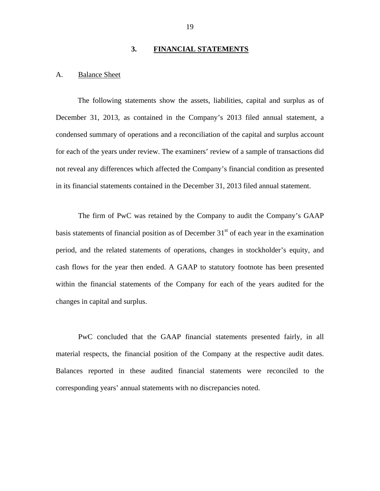#### **3. FINANCIAL STATEMENTS**

#### <span id="page-21-0"></span>A. Balance Sheet

The following statements show the assets, liabilities, capital and surplus as of December 31, 2013, as contained in the Company's 2013 filed annual statement, a condensed summary of operations and a reconciliation of the capital and surplus account for each of the years under review. The examiners' review of a sample of transactions did not reveal any differences which affected the Company's financial condition as presented in its financial statements contained in the December 31, 2013 filed annual statement.

The firm of PwC was retained by the Company to audit the Company's GAAP basis statements of financial position as of December  $31<sup>st</sup>$  of each year in the examination period, and the related statements of operations, changes in stockholder's equity, and cash flows for the year then ended. A GAAP to statutory footnote has been presented within the financial statements of the Company for each of the years audited for the changes in capital and surplus.

PwC concluded that the GAAP financial statements presented fairly, in all material respects, the financial position of the Company at the respective audit dates. Balances reported in these audited financial statements were reconciled to the corresponding years' annual statements with no discrepancies noted.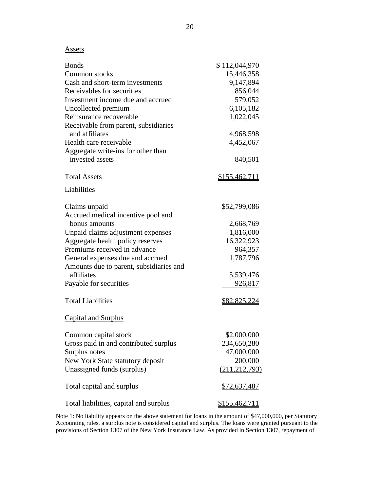#### **Assets**

| <b>Bonds</b>                            | \$112,044,970        |
|-----------------------------------------|----------------------|
| Common stocks                           | 15,446,358           |
| Cash and short-term investments         | 9,147,894            |
| Receivables for securities              | 856,044              |
| Investment income due and accrued       | 579,052              |
| Uncollected premium                     | 6,105,182            |
| Reinsurance recoverable                 | 1,022,045            |
| Receivable from parent, subsidiaries    |                      |
| and affiliates                          | 4,968,598            |
| Health care receivable                  | 4,452,067            |
| Aggregate write-ins for other than      |                      |
| invested assets                         | 840,501              |
| <b>Total Assets</b>                     | <u>\$155,462,711</u> |
| Liabilities                             |                      |
| Claims unpaid                           | \$52,799,086         |
| Accrued medical incentive pool and      |                      |
| bonus amounts                           | 2,668,769            |
| Unpaid claims adjustment expenses       | 1,816,000            |
| Aggregate health policy reserves        | 16,322,923           |
| Premiums received in advance            | 964,357              |
| General expenses due and accrued        | 1,787,796            |
| Amounts due to parent, subsidiaries and |                      |
| affiliates                              | 5,539,476            |
| Payable for securities                  | 926,817              |
| <b>Total Liabilities</b>                | <u>\$82,825,224</u>  |
| <b>Capital and Surplus</b>              |                      |
| Common capital stock                    | \$2,000,000          |
| Gross paid in and contributed surplus   | 234,650,280          |
| Surplus notes                           | 47,000,000           |
| New York State statutory deposit        | 200,000              |
| Unassigned funds (surplus)              | (211, 212, 793)      |
| Total capital and surplus               | \$72,637,487         |
| Total liabilities, capital and surplus  | <u>\$155,462,711</u> |

 provisions of Section 1307 of the New York Insurance Law. As provided in Section 1307, repayment of Note 1: No liability appears on the above statement for loans in the amount of \$47,000,000, per Statutory Accounting rules, a surplus note is considered capital and surplus. The loans were granted pursuant to the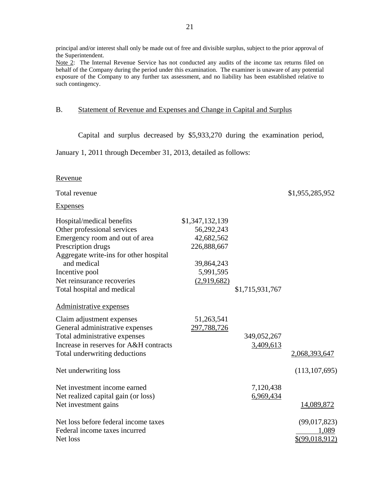<span id="page-23-0"></span> principal and/or interest shall only be made out of free and divisible surplus, subject to the prior approval of the Superintendent.

Note 2: The Internal Revenue Service has not conducted any audits of the income tax returns filed on behalf of the Company during the period under this examination. The examiner is unaware of any potential exposure of the Company to any further tax assessment, and no liability has been established relative to such contingency.

## B. Statement of Revenue and Expenses and Change in Capital and Surplus

Capital and surplus decreased by \$5,933,270 during the examination period,

January 1, 2011 through December 31, 2013, detailed as follows:

#### Revenue

| Total revenue                          |                 |                 | \$1,955,285,952  |
|----------------------------------------|-----------------|-----------------|------------------|
| <u>Expenses</u>                        |                 |                 |                  |
| Hospital/medical benefits              | \$1,347,132,139 |                 |                  |
| Other professional services            | 56,292,243      |                 |                  |
| Emergency room and out of area         | 42,682,562      |                 |                  |
| Prescription drugs                     | 226,888,667     |                 |                  |
| Aggregate write-ins for other hospital |                 |                 |                  |
| and medical                            | 39,864,243      |                 |                  |
| Incentive pool                         | 5,991,595       |                 |                  |
| Net reinsurance recoveries             | (2,919,682)     |                 |                  |
| Total hospital and medical             |                 | \$1,715,931,767 |                  |
| Administrative expenses                |                 |                 |                  |
| Claim adjustment expenses              | 51,263,541      |                 |                  |
| General administrative expenses        | 297,788,726     |                 |                  |
| Total administrative expenses          |                 | 349,052,267     |                  |
| Increase in reserves for A&H contracts |                 | 3,409,613       |                  |
| Total underwriting deductions          |                 |                 | 2,068,393,647    |
| Net underwriting loss                  |                 |                 | (113, 107, 695)  |
| Net investment income earned           |                 | 7,120,438       |                  |
| Net realized capital gain (or loss)    |                 | 6,969,434       |                  |
| Net investment gains                   |                 |                 | 14,089,872       |
| Net loss before federal income taxes   |                 |                 | (99,017,823)     |
| Federal income taxes incurred          |                 |                 | 1,089            |
| Net loss                               |                 |                 | \$(99, 018, 912) |
|                                        |                 |                 |                  |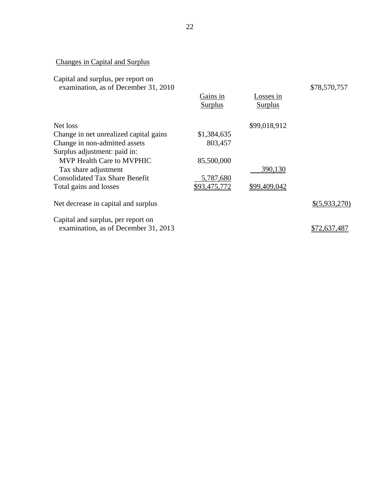# Changes in Capital and Surplus

| Capital and surplus, per report on   |  |
|--------------------------------------|--|
| examination, as of December 31, 2010 |  |

|                                                                            | Gains in<br><b>Surplus</b> | Losses in<br><b>Surplus</b> |               |
|----------------------------------------------------------------------------|----------------------------|-----------------------------|---------------|
| Net loss                                                                   |                            | \$99,018,912                |               |
| Change in net unrealized capital gains                                     | \$1,384,635                |                             |               |
| Change in non-admitted assets                                              | 803,457                    |                             |               |
| Surplus adjustment: paid in:                                               |                            |                             |               |
| MVP Health Care to MVPHIC                                                  | 85,500,000                 |                             |               |
| Tax share adjustment                                                       |                            | 390,130                     |               |
| <b>Consolidated Tax Share Benefit</b>                                      | 5,787,680                  |                             |               |
| Total gains and losses                                                     | \$93,475,772               | \$99,409,042                |               |
| Net decrease in capital and surplus                                        |                            |                             | \$(5,933,270) |
| Capital and surplus, per report on<br>examination, as of December 31, 2013 |                            |                             | \$72,637,487  |
|                                                                            |                            |                             |               |

\$78,570,757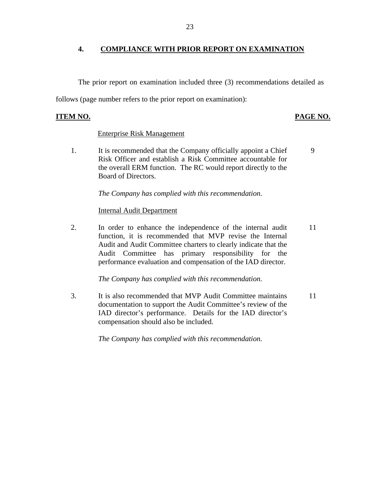## **4. COMPLIANCE WITH PRIOR REPORT ON EXAMINATION**

The prior report on examination included three (3) recommendations detailed as

follows (page number refers to the prior report on examination):

# **ITEM NO. PAGE NO.**

## Enterprise Risk Management

1. It is recommended that the Company officially appoint a Chief Risk Officer and establish a Risk Committee accountable for the overall ERM function. The RC would report directly to the Board of Directors. 9

*The Company has complied with this recommendation.* 

### Internal Audit Department

2. In order to enhance the independence of the internal audit function, it is recommended that MVP revise the Internal Audit and Audit Committee charters to clearly indicate that the Audit Committee has primary responsibility for the performance evaluation and compensation of the IAD director. 11

*The Company has complied with this recommendation.* 

3. It is also recommended that MVP Audit Committee maintains documentation to support the Audit Committee's review of the IAD director's performance. Details for the IAD director's compensation should also be included. 11

*The Company has complied with this recommendation.*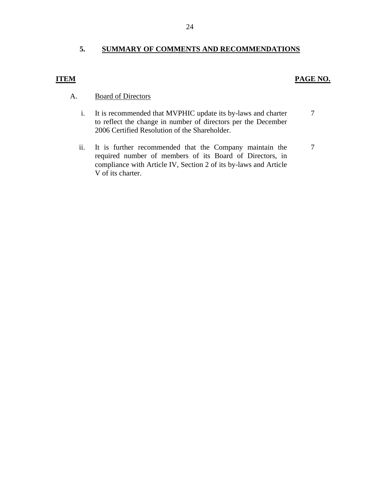# **5. SUMMARY OF COMMENTS AND RECOMMENDATIONS**

## **ITEM PAGE NO.**

# A. Board of Directors

- i. It is recommended that MVPHIC update its by-laws and charter to reflect the change in number of directors per the December 2006 Certified Resolution of the Shareholder. 7
- ii. It is further recommended that the Company maintain the required number of members of its Board of Directors, in compliance with Article IV, Section 2 of its by-laws and Article V of its charter. 7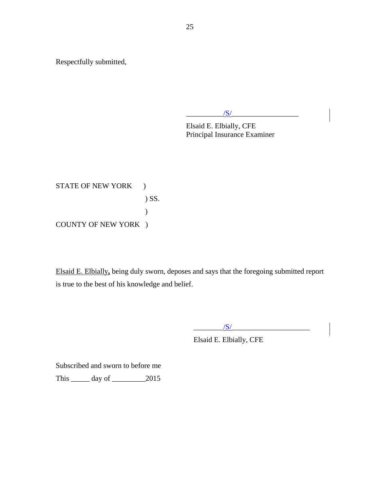Respectfully submitted,

 $\frac{1}{S}$ 

Elsaid E. Elbially, CFE Principal Insurance Examiner

STATE OF NEW YORK ) ) SS. ) COUNTY OF NEW YORK )

Elsaid E. Elbially**,** being duly sworn, deposes and says that the foregoing submitted report is true to the best of his knowledge and belief.

 $/S/$ 

Elsaid E. Elbially, CFE

Subscribed and sworn to before me

This \_\_\_\_\_ day of \_\_\_\_\_\_\_\_\_2015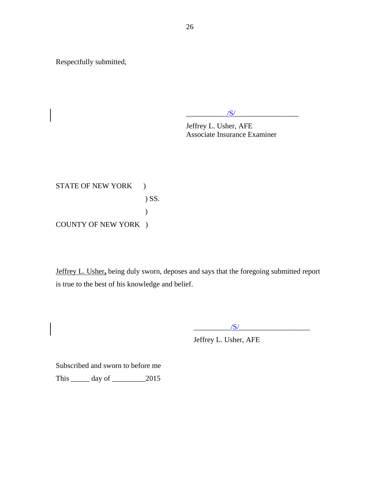Respectfully submitted,

 $/S/$ 

Jeffrey L. Usher, AFE Associate Insurance Examiner

STATE OF NEW YORK ) ) SS. ) COUNTY OF NEW YORK )

Jeffrey L. Usher**,** being duly sworn, deposes and says that the foregoing submitted report is true to the best of his knowledge and belief.

 $\frac{1}{\sqrt{S}}$ 

Jeffrey L. Usher, AFE

Subscribed and sworn to before me This \_\_\_\_\_ day of \_\_\_\_\_\_\_\_\_2015